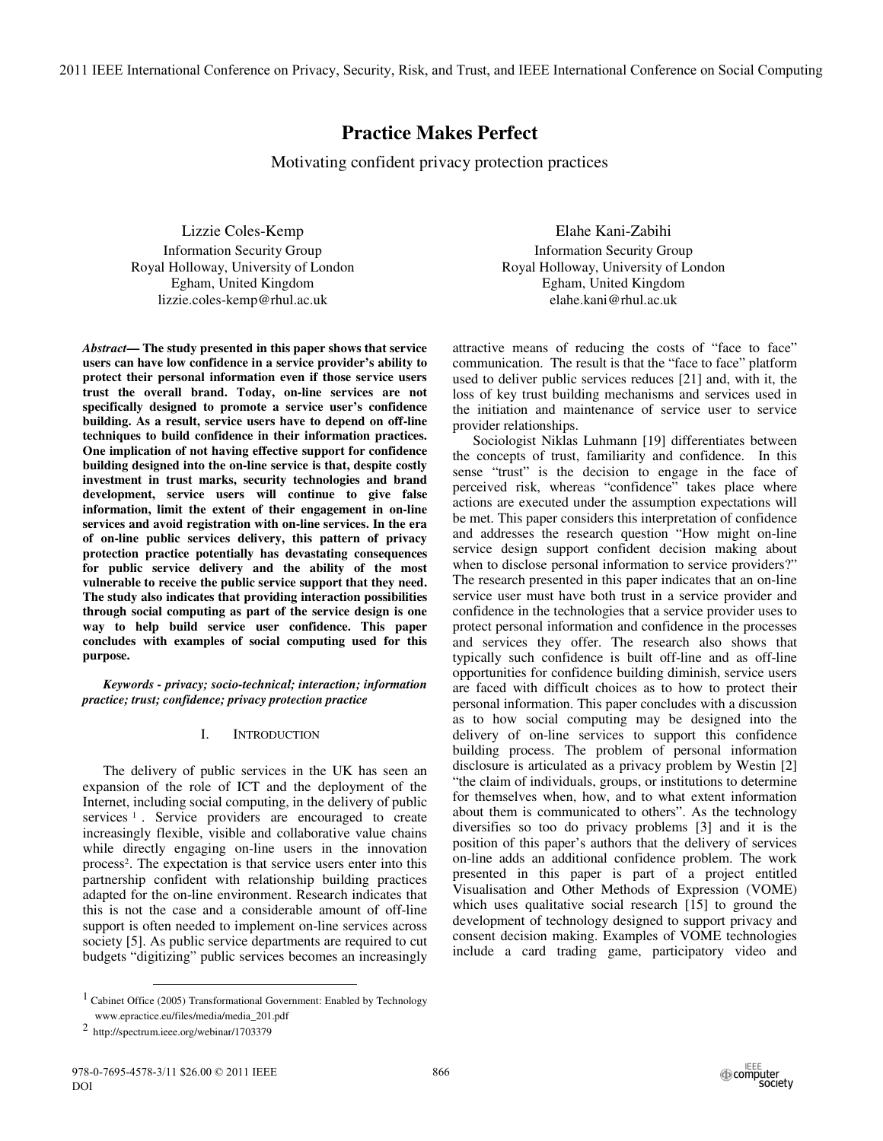2011 IEEE International Conference on Privacy, Security, Risk, and Trust, and IEEE International Conference on Social Computing

# **Practice Makes Perfect**

Motivating confident privacy protection practices

Lizzie Coles-Kemp Information Security Group Royal Holloway, University of London Egham, United Kingdom lizzie.coles-kemp@rhul.ac.uk

*Abstract***— The study presented in this paper shows that service users can have low confidence in a service provider's ability to protect their personal information even if those service users trust the overall brand. Today, on-line services are not specifically designed to promote a service user's confidence building. As a result, service users have to depend on off-line techniques to build confidence in their information practices. One implication of not having effective support for confidence building designed into the on-line service is that, despite costly investment in trust marks, security technologies and brand development, service users will continue to give false information, limit the extent of their engagement in on-line services and avoid registration with on-line services. In the era of on-line public services delivery, this pattern of privacy protection practice potentially has devastating consequences for public service delivery and the ability of the most vulnerable to receive the public service support that they need. The study also indicates that providing interaction possibilities through social computing as part of the service design is one way to help build service user confidence. This paper concludes with examples of social computing used for this purpose.** 

*Keywords - privacy; socio-technical; interaction; information practice; trust; confidence; privacy protection practice* 

# I. INTRODUCTION

The delivery of public services in the UK has seen an expansion of the role of ICT and the deployment of the Internet, including social computing, in the delivery of public services<sup>1</sup>. Service providers are encouraged to create increasingly flexible, visible and collaborative value chains while directly engaging on-line users in the innovation process2. The expectation is that service users enter into this partnership confident with relationship building practices adapted for the on-line environment. Research indicates that this is not the case and a considerable amount of off-line support is often needed to implement on-line services across society [5]. As public service departments are required to cut budgets "digitizing" public services becomes an increasingly

Elahe Kani-Zabihi Information Security Group Royal Holloway, University of London Egham, United Kingdom elahe.kani@rhul.ac.uk

attractive means of reducing the costs of "face to face" communication. The result is that the "face to face" platform used to deliver public services reduces [21] and, with it, the loss of key trust building mechanisms and services used in the initiation and maintenance of service user to service provider relationships.

Sociologist Niklas Luhmann [19] differentiates between the concepts of trust, familiarity and confidence. In this sense "trust" is the decision to engage in the face of perceived risk, whereas "confidence" takes place where actions are executed under the assumption expectations will be met. This paper considers this interpretation of confidence and addresses the research question "How might on-line service design support confident decision making about when to disclose personal information to service providers?" The research presented in this paper indicates that an on-line service user must have both trust in a service provider and confidence in the technologies that a service provider uses to protect personal information and confidence in the processes and services they offer. The research also shows that typically such confidence is built off-line and as off-line opportunities for confidence building diminish, service users are faced with difficult choices as to how to protect their personal information. This paper concludes with a discussion as to how social computing may be designed into the delivery of on-line services to support this confidence building process. The problem of personal information disclosure is articulated as a privacy problem by Westin [2] "the claim of individuals, groups, or institutions to determine for themselves when, how, and to what extent information about them is communicated to others". As the technology diversifies so too do privacy problems [3] and it is the position of this paper's authors that the delivery of services on-line adds an additional confidence problem. The work presented in this paper is part of a project entitled Visualisation and Other Methods of Expression (VOME) which uses qualitative social research [15] to ground the development of technology designed to support privacy and consent decision making. Examples of VOME technologies include a card trading game, participatory video and

 <sup>1</sup> Cabinet Office (2005) Transformational Government: Enabled by Technology www.epractice.eu/files/media/media\_201.pdf

<sup>2</sup> http://spectrum.ieee.org/webinar/1703379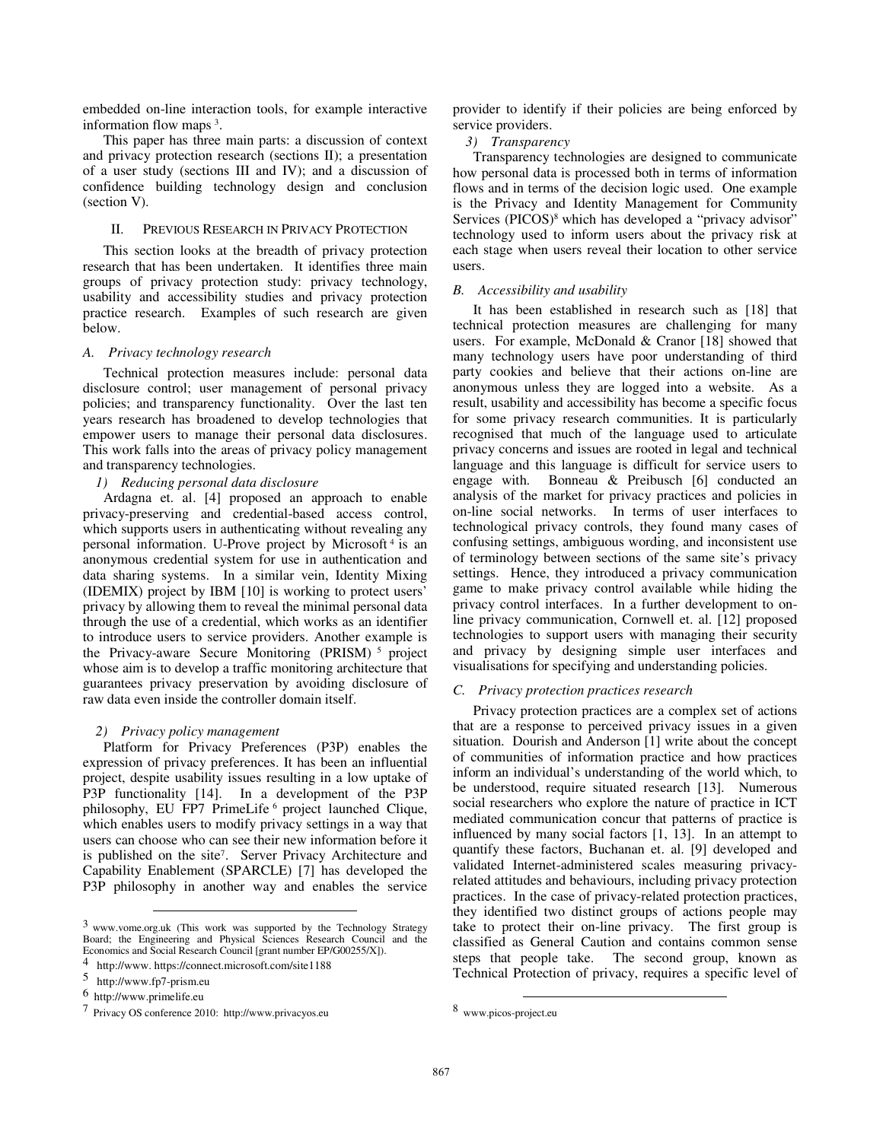embedded on-line interaction tools, for example interactive information flow maps 3.

This paper has three main parts: a discussion of context and privacy protection research (sections II); a presentation of a user study (sections III and IV); and a discussion of confidence building technology design and conclusion (section V).

### II. PREVIOUS RESEARCH IN PRIVACY PROTECTION

This section looks at the breadth of privacy protection research that has been undertaken. It identifies three main groups of privacy protection study: privacy technology, usability and accessibility studies and privacy protection practice research. Examples of such research are given below.

#### *A. Privacy technology research*

Technical protection measures include: personal data disclosure control; user management of personal privacy policies; and transparency functionality. Over the last ten years research has broadened to develop technologies that empower users to manage their personal data disclosures. This work falls into the areas of privacy policy management and transparency technologies.

#### *1) Reducing personal data disclosure*

Ardagna et. al. [4] proposed an approach to enable privacy-preserving and credential-based access control, which supports users in authenticating without revealing any personal information. U-Prove project by Microsoft 4 is an anonymous credential system for use in authentication and data sharing systems. In a similar vein, Identity Mixing (IDEMIX) project by IBM [10] is working to protect users' privacy by allowing them to reveal the minimal personal data through the use of a credential, which works as an identifier to introduce users to service providers. Another example is the Privacy-aware Secure Monitoring (PRISM) 5 project whose aim is to develop a traffic monitoring architecture that guarantees privacy preservation by avoiding disclosure of raw data even inside the controller domain itself.

#### *2) Privacy policy management*

Platform for Privacy Preferences (P3P) enables the expression of privacy preferences. It has been an influential project, despite usability issues resulting in a low uptake of P3P functionality [14]. In a development of the P3P philosophy, EU FP7 PrimeLife 6 project launched Clique, which enables users to modify privacy settings in a way that users can choose who can see their new information before it is published on the site7. Server Privacy Architecture and Capability Enablement (SPARCLE) [7] has developed the P3P philosophy in another way and enables the service

 3 www.vome.org.uk (This work was supported by the Technology Strategy Board; the Engineering and Physical Sciences Research Council and the Economics and Social Research Council [grant number EP/G00255/X]).

provider to identify if their policies are being enforced by service providers.

### *3) Transparency*

Transparency technologies are designed to communicate how personal data is processed both in terms of information flows and in terms of the decision logic used. One example is the Privacy and Identity Management for Community Services (PICOS)<sup>8</sup> which has developed a "privacy advisor" technology used to inform users about the privacy risk at each stage when users reveal their location to other service users.

### *B. Accessibility and usability*

It has been established in research such as [18] that technical protection measures are challenging for many users. For example, McDonald & Cranor [18] showed that many technology users have poor understanding of third party cookies and believe that their actions on-line are anonymous unless they are logged into a website. As a result, usability and accessibility has become a specific focus for some privacy research communities. It is particularly recognised that much of the language used to articulate privacy concerns and issues are rooted in legal and technical language and this language is difficult for service users to engage with. Bonneau & Preibusch [6] conducted an analysis of the market for privacy practices and policies in on-line social networks. In terms of user interfaces to technological privacy controls, they found many cases of confusing settings, ambiguous wording, and inconsistent use of terminology between sections of the same site's privacy settings. Hence, they introduced a privacy communication game to make privacy control available while hiding the privacy control interfaces. In a further development to online privacy communication, Cornwell et. al. [12] proposed technologies to support users with managing their security and privacy by designing simple user interfaces and visualisations for specifying and understanding policies.

## *C. Privacy protection practices research*

Privacy protection practices are a complex set of actions that are a response to perceived privacy issues in a given situation. Dourish and Anderson [1] write about the concept of communities of information practice and how practices inform an individual's understanding of the world which, to be understood, require situated research [13]. Numerous social researchers who explore the nature of practice in ICT mediated communication concur that patterns of practice is influenced by many social factors [1, 13]. In an attempt to quantify these factors, Buchanan et. al. [9] developed and validated Internet-administered scales measuring privacyrelated attitudes and behaviours, including privacy protection practices. In the case of privacy-related protection practices, they identified two distinct groups of actions people may take to protect their on-line privacy. The first group is classified as General Caution and contains common sense steps that people take. The second group, known as Technical Protection of privacy, requires a specific level of

<sup>4</sup> http://www. https://connect.microsoft.com/site1188

<sup>5</sup> http://www.fp7-prism.eu

<sup>6</sup> http://www.primelife.eu

<sup>7</sup> Privacy OS conference 2010: http://www.privacyos.eu

 <sup>8</sup> www.picos-project.eu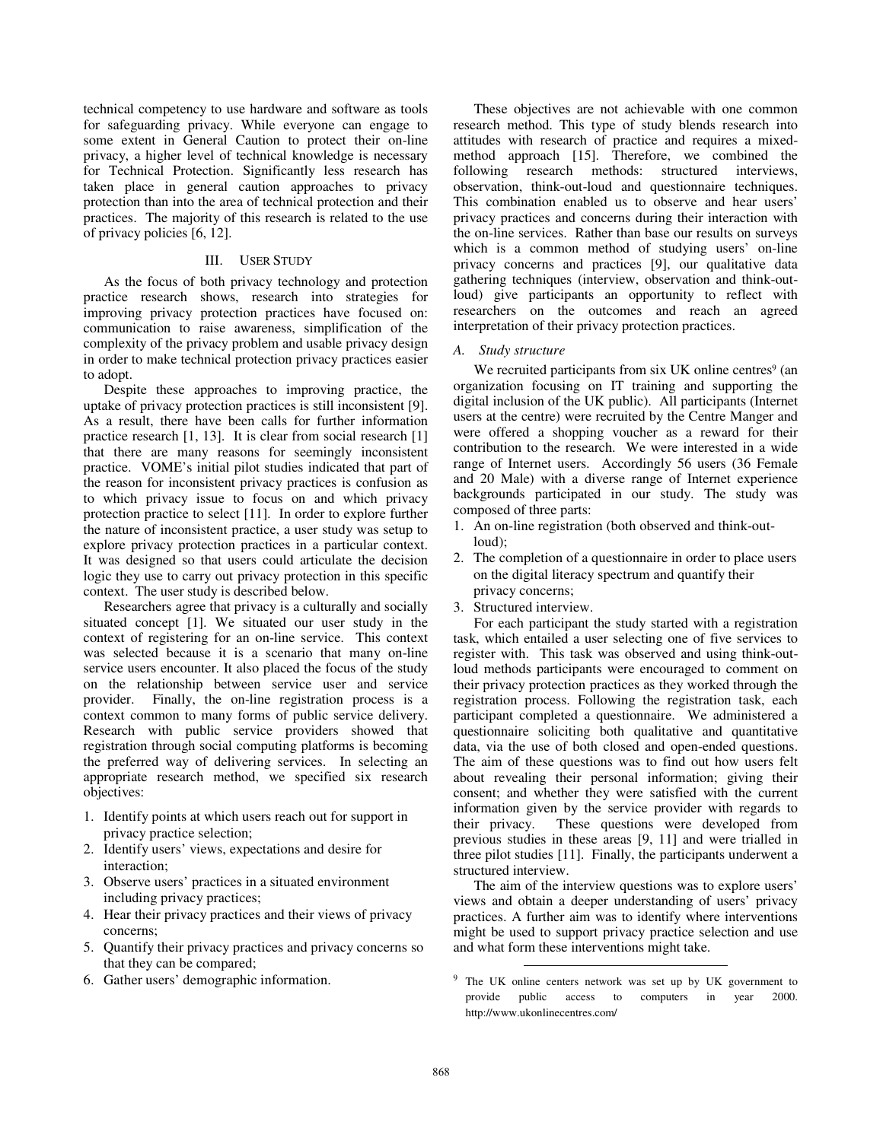technical competency to use hardware and software as tools for safeguarding privacy. While everyone can engage to some extent in General Caution to protect their on-line privacy, a higher level of technical knowledge is necessary for Technical Protection. Significantly less research has taken place in general caution approaches to privacy protection than into the area of technical protection and their practices. The majority of this research is related to the use of privacy policies [6, 12].

#### III. USER STUDY

As the focus of both privacy technology and protection practice research shows, research into strategies for improving privacy protection practices have focused on: communication to raise awareness, simplification of the complexity of the privacy problem and usable privacy design in order to make technical protection privacy practices easier to adopt.

Despite these approaches to improving practice, the uptake of privacy protection practices is still inconsistent [9]. As a result, there have been calls for further information practice research [1, 13]. It is clear from social research [1] that there are many reasons for seemingly inconsistent practice. VOME's initial pilot studies indicated that part of the reason for inconsistent privacy practices is confusion as to which privacy issue to focus on and which privacy protection practice to select [11]. In order to explore further the nature of inconsistent practice, a user study was setup to explore privacy protection practices in a particular context. It was designed so that users could articulate the decision logic they use to carry out privacy protection in this specific context. The user study is described below.

Researchers agree that privacy is a culturally and socially situated concept [1]. We situated our user study in the context of registering for an on-line service. This context was selected because it is a scenario that many on-line service users encounter. It also placed the focus of the study on the relationship between service user and service provider. Finally, the on-line registration process is a context common to many forms of public service delivery. Research with public service providers showed that registration through social computing platforms is becoming the preferred way of delivering services. In selecting an appropriate research method, we specified six research objectives:

- 1. Identify points at which users reach out for support in privacy practice selection;
- 2. Identify users' views, expectations and desire for interaction;
- 3. Observe users' practices in a situated environment including privacy practices;
- 4. Hear their privacy practices and their views of privacy concerns;
- 5. Quantify their privacy practices and privacy concerns so that they can be compared;
- 6. Gather users' demographic information.

These objectives are not achievable with one common research method. This type of study blends research into attitudes with research of practice and requires a mixedmethod approach [15]. Therefore, we combined the following research methods: structured interviews, observation, think-out-loud and questionnaire techniques. This combination enabled us to observe and hear users' privacy practices and concerns during their interaction with the on-line services. Rather than base our results on surveys which is a common method of studying users' on-line privacy concerns and practices [9], our qualitative data gathering techniques (interview, observation and think-outloud) give participants an opportunity to reflect with researchers on the outcomes and reach an agreed interpretation of their privacy protection practices.

#### *A. Study structure*

We recruited participants from six UK online centres $9$  (an organization focusing on IT training and supporting the digital inclusion of the UK public). All participants (Internet users at the centre) were recruited by the Centre Manger and were offered a shopping voucher as a reward for their contribution to the research. We were interested in a wide range of Internet users. Accordingly 56 users (36 Female and 20 Male) with a diverse range of Internet experience backgrounds participated in our study. The study was composed of three parts:

- 1. An on-line registration (both observed and think-outloud);
- 2. The completion of a questionnaire in order to place users on the digital literacy spectrum and quantify their privacy concerns;
- 3. Structured interview.

For each participant the study started with a registration task, which entailed a user selecting one of five services to register with. This task was observed and using think-outloud methods participants were encouraged to comment on their privacy protection practices as they worked through the registration process. Following the registration task, each participant completed a questionnaire. We administered a questionnaire soliciting both qualitative and quantitative data, via the use of both closed and open-ended questions. The aim of these questions was to find out how users felt about revealing their personal information; giving their consent; and whether they were satisfied with the current information given by the service provider with regards to their privacy. These questions were developed from previous studies in these areas [9, 11] and were trialled in three pilot studies [11]. Finally, the participants underwent a structured interview.

The aim of the interview questions was to explore users' views and obtain a deeper understanding of users' privacy practices. A further aim was to identify where interventions might be used to support privacy practice selection and use and what form these interventions might take.

<sup>&</sup>lt;sup>9</sup> The UK online centers network was set up by UK government to provide public access to computers in year 2000. http://www.ukonlinecentres.com/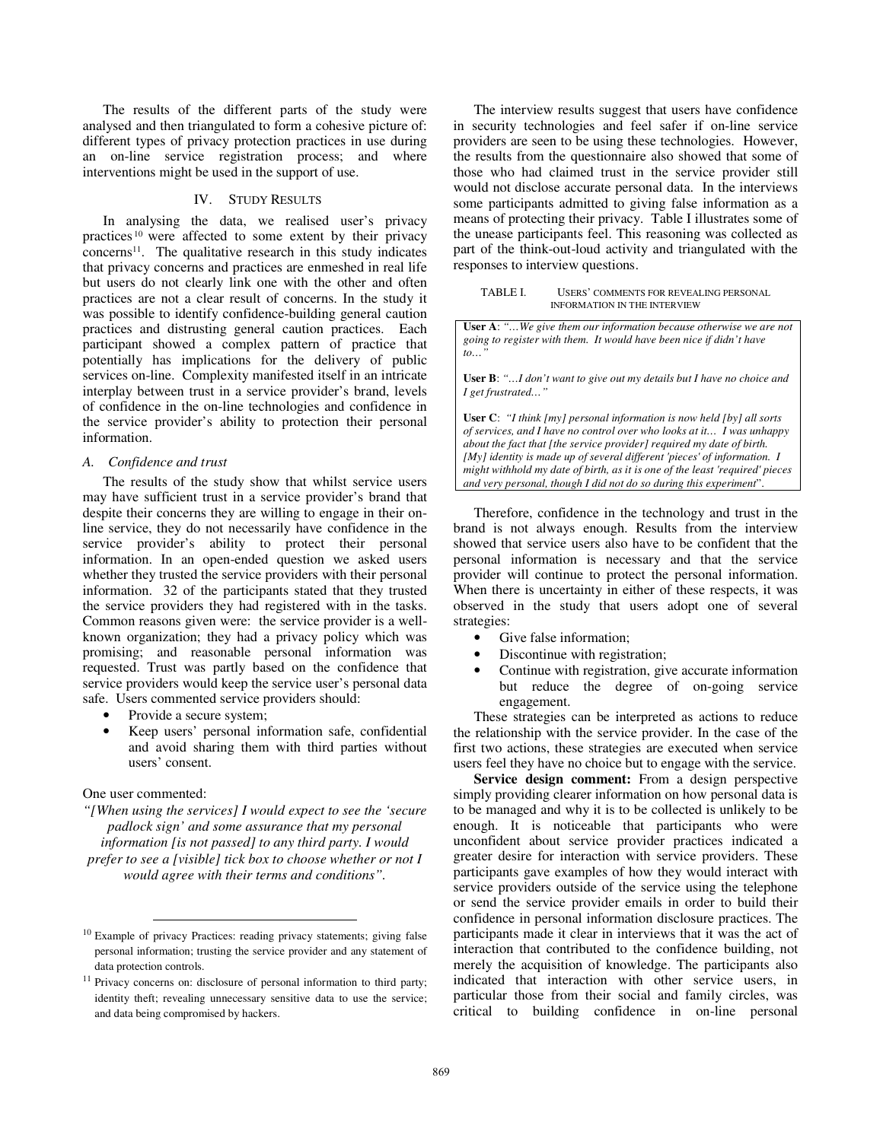The results of the different parts of the study were analysed and then triangulated to form a cohesive picture of: different types of privacy protection practices in use during an on-line service registration process; and where interventions might be used in the support of use.

#### IV. STUDY RESULTS

In analysing the data, we realised user's privacy practices 10 were affected to some extent by their privacy  $concerns<sup>11</sup>$ . The qualitative research in this study indicates that privacy concerns and practices are enmeshed in real life but users do not clearly link one with the other and often practices are not a clear result of concerns. In the study it was possible to identify confidence-building general caution practices and distrusting general caution practices. Each participant showed a complex pattern of practice that potentially has implications for the delivery of public services on-line. Complexity manifested itself in an intricate interplay between trust in a service provider's brand, levels of confidence in the on-line technologies and confidence in the service provider's ability to protection their personal information.

#### *A. Confidence and trust*

The results of the study show that whilst service users may have sufficient trust in a service provider's brand that despite their concerns they are willing to engage in their online service, they do not necessarily have confidence in the service provider's ability to protect their personal information. In an open-ended question we asked users whether they trusted the service providers with their personal information. 32 of the participants stated that they trusted the service providers they had registered with in the tasks. Common reasons given were: the service provider is a wellknown organization; they had a privacy policy which was promising; and reasonable personal information was requested. Trust was partly based on the confidence that service providers would keep the service user's personal data safe. Users commented service providers should:

- Provide a secure system;
- Keep users' personal information safe, confidential and avoid sharing them with third parties without users' consent.

#### One user commented:

*"[When using the services] I would expect to see the 'secure padlock sign' and some assurance that my personal information [is not passed] to any third party. I would prefer to see a [visible] tick box to choose whether or not I would agree with their terms and conditions".* 

The interview results suggest that users have confidence in security technologies and feel safer if on-line service providers are seen to be using these technologies. However, the results from the questionnaire also showed that some of those who had claimed trust in the service provider still would not disclose accurate personal data. In the interviews some participants admitted to giving false information as a means of protecting their privacy. Table I illustrates some of the unease participants feel. This reasoning was collected as part of the think-out-loud activity and triangulated with the responses to interview questions.

| TABLE I. | USERS' COMMENTS FOR REVEALING PERSONAL |
|----------|----------------------------------------|
|          | <b>INFORMATION IN THE INTERVIEW</b>    |

**User A**: *"…We give them our information because otherwise we are not going to register with them. It would have been nice if didn't have to…"*

**User B**: *"…I don't want to give out my details but I have no choice and I get frustrated…"*

**User C**: *"I think [my] personal information is now held [by] all sorts of services, and I have no control over who looks at it… I was unhappy about the fact that [the service provider] required my date of birth. [My] identity is made up of several different 'pieces' of information. I might withhold my date of birth, as it is one of the least 'required' pieces and very personal, though I did not do so during this experiment*".

Therefore, confidence in the technology and trust in the brand is not always enough. Results from the interview showed that service users also have to be confident that the personal information is necessary and that the service provider will continue to protect the personal information. When there is uncertainty in either of these respects, it was observed in the study that users adopt one of several strategies:

- Give false information;
- Discontinue with registration;
- Continue with registration, give accurate information but reduce the degree of on-going service engagement.

These strategies can be interpreted as actions to reduce the relationship with the service provider. In the case of the first two actions, these strategies are executed when service users feel they have no choice but to engage with the service.

**Service design comment:** From a design perspective simply providing clearer information on how personal data is to be managed and why it is to be collected is unlikely to be enough. It is noticeable that participants who were unconfident about service provider practices indicated a greater desire for interaction with service providers. These participants gave examples of how they would interact with service providers outside of the service using the telephone or send the service provider emails in order to build their confidence in personal information disclosure practices. The participants made it clear in interviews that it was the act of interaction that contributed to the confidence building, not merely the acquisition of knowledge. The participants also indicated that interaction with other service users, in particular those from their social and family circles, was critical to building confidence in on-line personal

<sup>&</sup>lt;sup>10</sup> Example of privacy Practices: reading privacy statements; giving false personal information; trusting the service provider and any statement of data protection controls.

<sup>&</sup>lt;sup>11</sup> Privacy concerns on: disclosure of personal information to third party; identity theft; revealing unnecessary sensitive data to use the service; and data being compromised by hackers.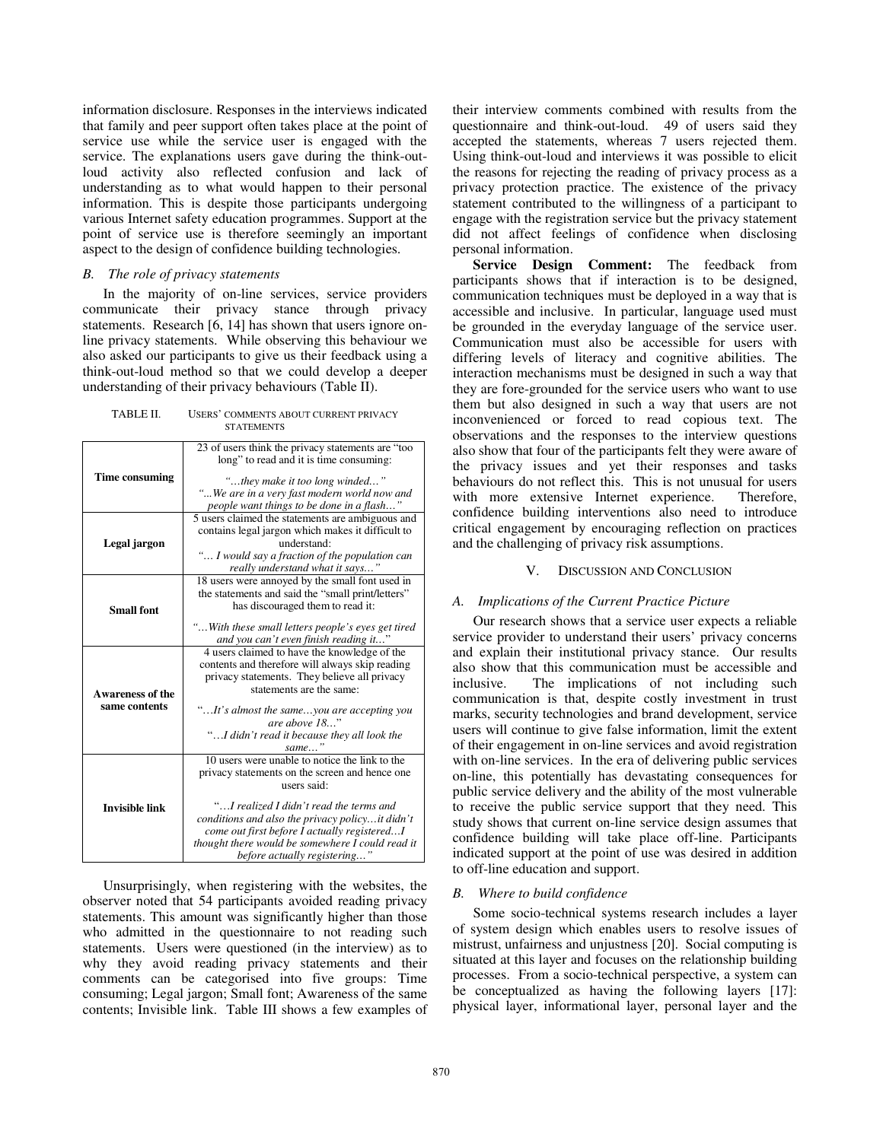information disclosure. Responses in the interviews indicated that family and peer support often takes place at the point of service use while the service user is engaged with the service. The explanations users gave during the think-outloud activity also reflected confusion and lack of understanding as to what would happen to their personal information. This is despite those participants undergoing various Internet safety education programmes. Support at the point of service use is therefore seemingly an important aspect to the design of confidence building technologies.

#### *B. The role of privacy statements*

In the majority of on-line services, service providers communicate their privacy stance through privacy statements. Research  $[6, 14]$  has shown that users ignore online privacy statements. While observing this behaviour we also asked our participants to give us their feedback using a think-out-loud method so that we could develop a deeper understanding of their privacy behaviours (Table II).

| TABLE II. | USERS' COMMENTS ABOUT CURRENT PRIVACY |
|-----------|---------------------------------------|
|           | <b>STATEMENTS</b>                     |

|                         | 23 of users think the privacy statements are "too |
|-------------------------|---------------------------------------------------|
|                         | long" to read and it is time consuming:           |
| <b>Time consuming</b>   |                                                   |
|                         | "they make it too long winded"                    |
|                         | "We are in a very fast modern world now and       |
|                         | people want things to be done in a flash"         |
|                         | 5 users claimed the statements are ambiguous and  |
|                         | contains legal jargon which makes it difficult to |
| Legal jargon            | understand:                                       |
|                         | " I would say a fraction of the population can    |
|                         | really understand what it says"                   |
|                         | 18 users were annoyed by the small font used in   |
|                         | the statements and said the "small print/letters" |
| <b>Small font</b>       | has discouraged them to read it:                  |
|                         | "With these small letters people's eyes get tired |
|                         | and you can't even finish reading it"             |
|                         | 4 users claimed to have the knowledge of the      |
|                         | contents and therefore will always skip reading   |
|                         | privacy statements. They believe all privacy      |
|                         | statements are the same:                          |
| <b>Awareness of the</b> |                                                   |
| same contents           | "It's almost the sameyou are accepting you        |
|                         | are above 18"                                     |
|                         | "I didn't read it because they all look the       |
|                         | same                                              |
|                         | 10 users were unable to notice the link to the    |
|                         | privacy statements on the screen and hence one    |
|                         | users said:                                       |
| <b>Invisible link</b>   | "I realized I didn't read the terms and           |
|                         | conditions and also the privacy policyit didn't   |
|                         | come out first before I actually registeredI      |
|                         | thought there would be somewhere I could read it  |
|                         | before actually registering"                      |
|                         |                                                   |

Unsurprisingly, when registering with the websites, the observer noted that 54 participants avoided reading privacy statements. This amount was significantly higher than those who admitted in the questionnaire to not reading such statements. Users were questioned (in the interview) as to why they avoid reading privacy statements and their comments can be categorised into five groups: Time consuming; Legal jargon; Small font; Awareness of the same contents; Invisible link. Table III shows a few examples of

their interview comments combined with results from the questionnaire and think-out-loud. 49 of users said they accepted the statements, whereas 7 users rejected them. Using think-out-loud and interviews it was possible to elicit the reasons for rejecting the reading of privacy process as a privacy protection practice. The existence of the privacy statement contributed to the willingness of a participant to engage with the registration service but the privacy statement did not affect feelings of confidence when disclosing personal information.

**Service Design Comment:** The feedback from participants shows that if interaction is to be designed, communication techniques must be deployed in a way that is accessible and inclusive. In particular, language used must be grounded in the everyday language of the service user. Communication must also be accessible for users with differing levels of literacy and cognitive abilities. The interaction mechanisms must be designed in such a way that they are fore-grounded for the service users who want to use them but also designed in such a way that users are not inconvenienced or forced to read copious text. The observations and the responses to the interview questions also show that four of the participants felt they were aware of the privacy issues and yet their responses and tasks behaviours do not reflect this. This is not unusual for users with more extensive Internet experience. Therefore, with more extensive Internet experience. confidence building interventions also need to introduce critical engagement by encouraging reflection on practices and the challenging of privacy risk assumptions.

### V. DISCUSSION AND CONCLUSION

#### *A. Implications of the Current Practice Picture*

Our research shows that a service user expects a reliable service provider to understand their users' privacy concerns and explain their institutional privacy stance. Our results also show that this communication must be accessible and inclusive. The implications of not including such communication is that, despite costly investment in trust marks, security technologies and brand development, service users will continue to give false information, limit the extent of their engagement in on-line services and avoid registration with on-line services. In the era of delivering public services on-line, this potentially has devastating consequences for public service delivery and the ability of the most vulnerable to receive the public service support that they need. This study shows that current on-line service design assumes that confidence building will take place off-line. Participants indicated support at the point of use was desired in addition to off-line education and support.

#### *B. Where to build confidence*

Some socio-technical systems research includes a layer of system design which enables users to resolve issues of mistrust, unfairness and unjustness [20]. Social computing is situated at this layer and focuses on the relationship building processes. From a socio-technical perspective, a system can be conceptualized as having the following layers [17]: physical layer, informational layer, personal layer and the